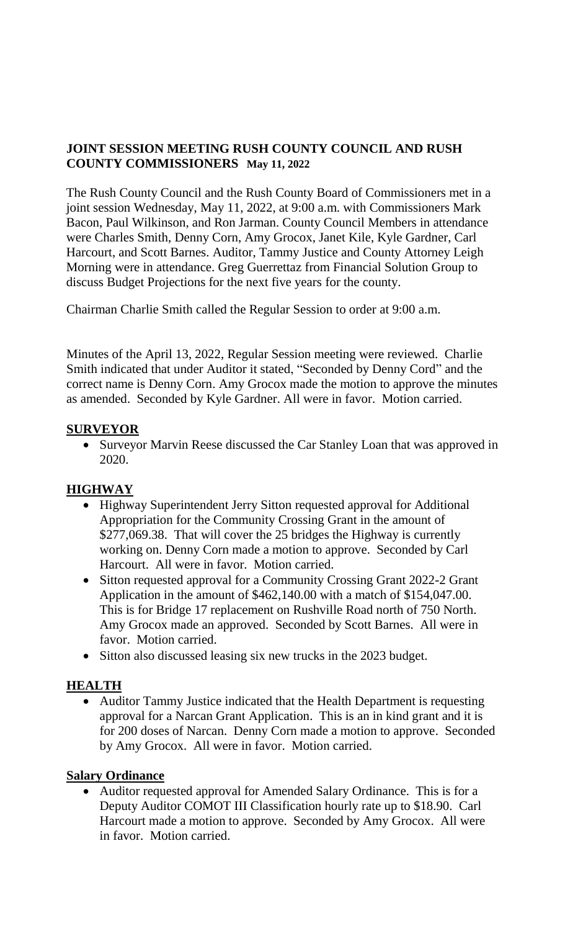### **JOINT SESSION MEETING RUSH COUNTY COUNCIL AND RUSH COUNTY COMMISSIONERS May 11, 2022**

The Rush County Council and the Rush County Board of Commissioners met in a joint session Wednesday, May 11, 2022, at 9:00 a.m. with Commissioners Mark Bacon, Paul Wilkinson, and Ron Jarman. County Council Members in attendance were Charles Smith, Denny Corn, Amy Grocox, Janet Kile, Kyle Gardner, Carl Harcourt, and Scott Barnes. Auditor, Tammy Justice and County Attorney Leigh Morning were in attendance. Greg Guerrettaz from Financial Solution Group to discuss Budget Projections for the next five years for the county.

Chairman Charlie Smith called the Regular Session to order at 9:00 a.m.

Minutes of the April 13, 2022, Regular Session meeting were reviewed. Charlie Smith indicated that under Auditor it stated, "Seconded by Denny Cord" and the correct name is Denny Corn. Amy Grocox made the motion to approve the minutes as amended. Seconded by Kyle Gardner. All were in favor. Motion carried.

#### **SURVEYOR**

• Surveyor Marvin Reese discussed the Car Stanley Loan that was approved in 2020.

### **HIGHWAY**

- Highway Superintendent Jerry Sitton requested approval for Additional Appropriation for the Community Crossing Grant in the amount of \$277,069.38. That will cover the 25 bridges the Highway is currently working on. Denny Corn made a motion to approve. Seconded by Carl Harcourt. All were in favor. Motion carried.
- Sitton requested approval for a Community Crossing Grant 2022-2 Grant Application in the amount of \$462,140.00 with a match of \$154,047.00. This is for Bridge 17 replacement on Rushville Road north of 750 North. Amy Grocox made an approved. Seconded by Scott Barnes. All were in favor. Motion carried.
- Sitton also discussed leasing six new trucks in the 2023 budget.

### **HEALTH**

• Auditor Tammy Justice indicated that the Health Department is requesting approval for a Narcan Grant Application. This is an in kind grant and it is for 200 doses of Narcan. Denny Corn made a motion to approve. Seconded by Amy Grocox. All were in favor. Motion carried.

### **Salary Ordinance**

• Auditor requested approval for Amended Salary Ordinance. This is for a Deputy Auditor COMOT III Classification hourly rate up to \$18.90. Carl Harcourt made a motion to approve. Seconded by Amy Grocox. All were in favor. Motion carried.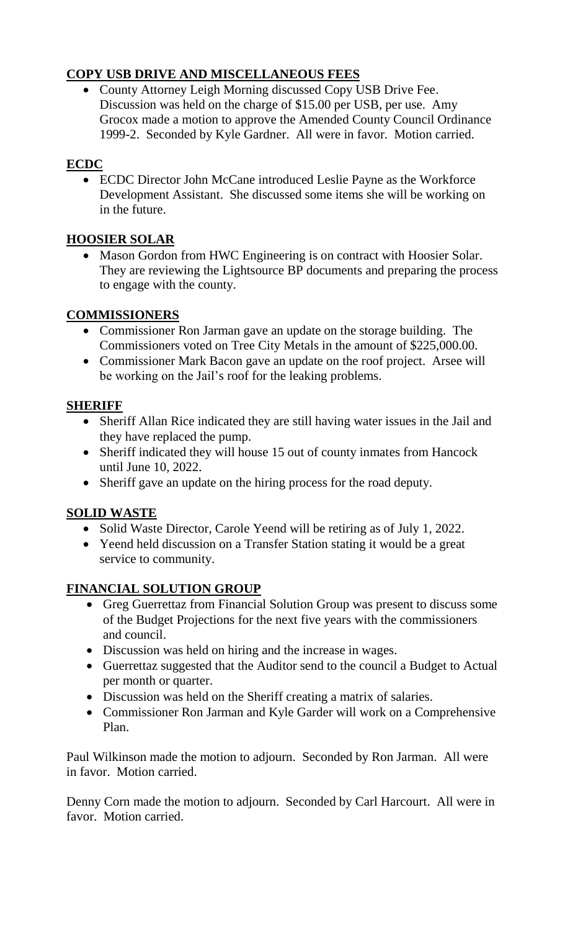# **COPY USB DRIVE AND MISCELLANEOUS FEES**

• County Attorney Leigh Morning discussed Copy USB Drive Fee. Discussion was held on the charge of \$15.00 per USB, per use. Amy Grocox made a motion to approve the Amended County Council Ordinance 1999-2. Seconded by Kyle Gardner. All were in favor. Motion carried.

## **ECDC**

 ECDC Director John McCane introduced Leslie Payne as the Workforce Development Assistant. She discussed some items she will be working on in the future.

## **HOOSIER SOLAR**

• Mason Gordon from HWC Engineering is on contract with Hoosier Solar. They are reviewing the Lightsource BP documents and preparing the process to engage with the county.

## **COMMISSIONERS**

- Commissioner Ron Jarman gave an update on the storage building. The Commissioners voted on Tree City Metals in the amount of \$225,000.00.
- Commissioner Mark Bacon gave an update on the roof project. Arsee will be working on the Jail's roof for the leaking problems.

## **SHERIFF**

- Sheriff Allan Rice indicated they are still having water issues in the Jail and they have replaced the pump.
- Sheriff indicated they will house 15 out of county inmates from Hancock until June 10, 2022.
- Sheriff gave an update on the hiring process for the road deputy.

## **SOLID WASTE**

- Solid Waste Director, Carole Yeend will be retiring as of July 1, 2022.
- Yeend held discussion on a Transfer Station stating it would be a great service to community.

## **FINANCIAL SOLUTION GROUP**

- Greg Guerrettaz from Financial Solution Group was present to discuss some of the Budget Projections for the next five years with the commissioners and council.
- Discussion was held on hiring and the increase in wages.
- Guerrettaz suggested that the Auditor send to the council a Budget to Actual per month or quarter.
- Discussion was held on the Sheriff creating a matrix of salaries.
- Commissioner Ron Jarman and Kyle Garder will work on a Comprehensive Plan.

Paul Wilkinson made the motion to adjourn. Seconded by Ron Jarman. All were in favor. Motion carried.

Denny Corn made the motion to adjourn. Seconded by Carl Harcourt. All were in favor. Motion carried.